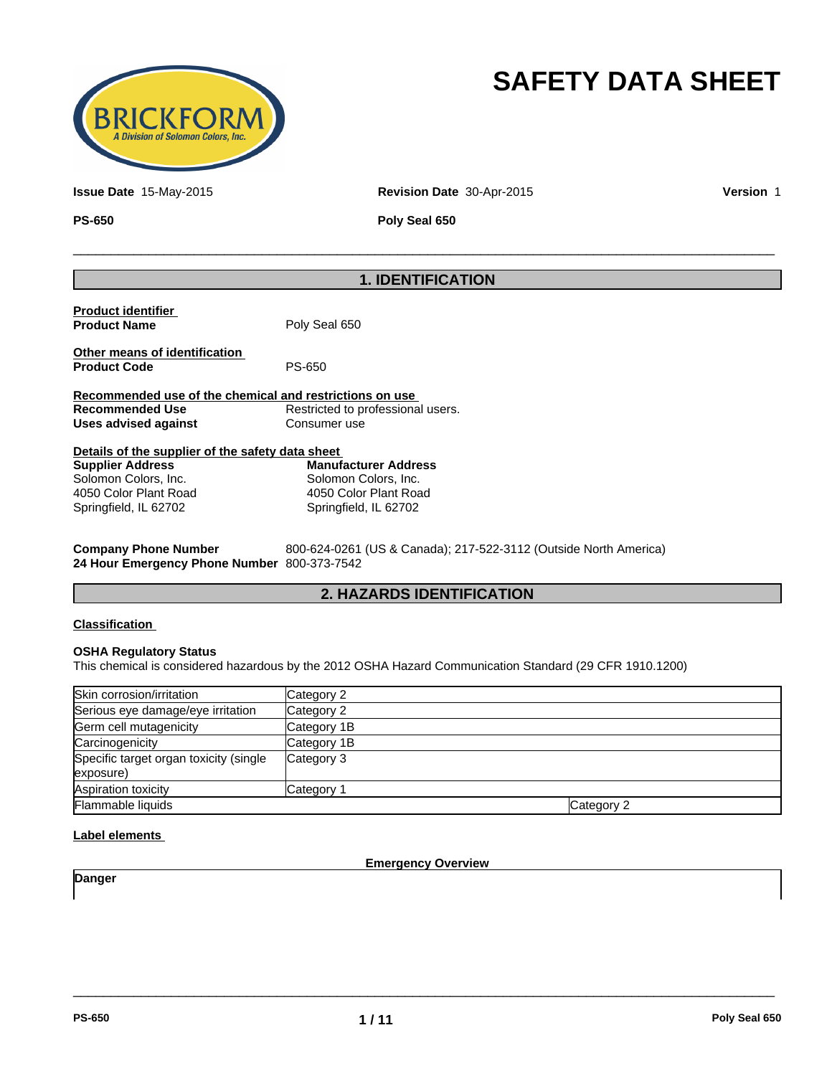

# **SAFETY DATA SHEET**

**Issue Date** 15-May-2015 **Revision Date** 30-Apr-2015 **Version** 1

**PS-650 Poly Seal 650**

 $\overline{\phantom{a}}$  ,  $\overline{\phantom{a}}$  ,  $\overline{\phantom{a}}$  ,  $\overline{\phantom{a}}$  ,  $\overline{\phantom{a}}$  ,  $\overline{\phantom{a}}$  ,  $\overline{\phantom{a}}$  ,  $\overline{\phantom{a}}$  ,  $\overline{\phantom{a}}$  ,  $\overline{\phantom{a}}$  ,  $\overline{\phantom{a}}$  ,  $\overline{\phantom{a}}$  ,  $\overline{\phantom{a}}$  ,  $\overline{\phantom{a}}$  ,  $\overline{\phantom{a}}$  ,  $\overline{\phantom{a}}$ 

# **1. IDENTIFICATION**

|                                                  | Recommended use of the chemical and restrictions on use |  |
|--------------------------------------------------|---------------------------------------------------------|--|
|                                                  |                                                         |  |
| <b>Recommended Use</b><br>Uses advised against   | Restricted to professional users.<br>Consumer use       |  |
| Details of the supplier of the safety data sheet |                                                         |  |

| Supplier Address      | Mai |
|-----------------------|-----|
| Solomon Colors, Inc.  | Sol |
| 4050 Color Plant Road | 405 |
| Springfield, IL 62702 | Spr |

**Manufacturer Address** Solomon Colors, Inc. 4050 Color Plant Road Springfield, IL 62702

| <b>Company Phone Number</b>    |  |  |
|--------------------------------|--|--|
| 24 Hour Emergency Phone Number |  |  |

**Company Phone Number** 800-624-0261 (US & Canada); 217-522-3112 (Outside North America) **24 Hour Emergency Phone Number** 800-373-7542

## **2. HAZARDS IDENTIFICATION**

#### **Classification**

#### **OSHA Regulatory Status**

This chemical is considered hazardous by the 2012 OSHA Hazard Communication Standard (29 CFR 1910.1200)

| Skin corrosion/irritation              | Category 2  |            |
|----------------------------------------|-------------|------------|
| Serious eye damage/eye irritation      | Category 2  |            |
| Germ cell mutagenicity                 | Category 1B |            |
| Carcinogenicity                        | Category 1B |            |
| Specific target organ toxicity (single | Category 3  |            |
| exposure)                              |             |            |
| Aspiration toxicity                    | Category 1  |            |
| Flammable liquids                      |             | Category 2 |

#### **Label elements**

**Emergency Overview**

 $\overline{\phantom{a}}$  ,  $\overline{\phantom{a}}$  ,  $\overline{\phantom{a}}$  ,  $\overline{\phantom{a}}$  ,  $\overline{\phantom{a}}$  ,  $\overline{\phantom{a}}$  ,  $\overline{\phantom{a}}$  ,  $\overline{\phantom{a}}$  ,  $\overline{\phantom{a}}$  ,  $\overline{\phantom{a}}$  ,  $\overline{\phantom{a}}$  ,  $\overline{\phantom{a}}$  ,  $\overline{\phantom{a}}$  ,  $\overline{\phantom{a}}$  ,  $\overline{\phantom{a}}$  ,  $\overline{\phantom{a}}$ 

**Danger**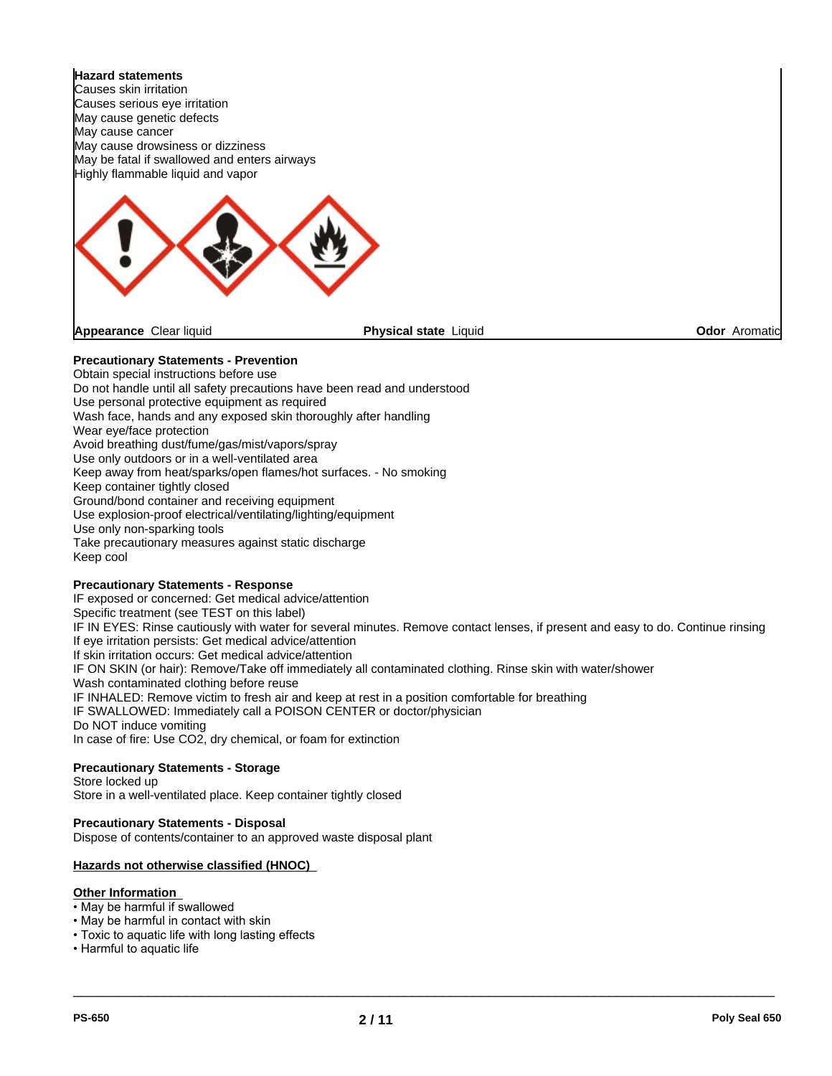

**Physical state Liquid Contract Contract Contract Contract Contract Contract Contract Contract Contract Contract Contract Contract Contract Contract Contract Contract Contract Contract Contract Contract Contract Contract C** 

#### **Precautionary Statements - Prevention**

Obtain special instructions before use Do not handle until all safety precautions have been read and understood Use personal protective equipment as required Wash face, hands and any exposed skin thoroughly after handling Wear eye/face protection Avoid breathing dust/fume/gas/mist/vapors/spray Use only outdoors or in a well-ventilated area Keep away from heat/sparks/open flames/hot surfaces. - No smoking Keep container tightly closed Ground/bond container and receiving equipment Use explosion-proof electrical/ventilating/lighting/equipment Use only non-sparking tools Take precautionary measures against static discharge Keep cool

#### **Precautionary Statements - Response**

IF exposed or concerned: Get medical advice/attention Specific treatment (see TEST on this label) IF IN EYES: Rinse cautiously with water for several minutes. Remove contact lenses, if present and easy to do. Continue rinsing If eye irritation persists: Get medical advice/attention If skin irritation occurs: Get medical advice/attention IF ON SKIN (or hair): Remove/Take off immediately all contaminated clothing. Rinse skin with water/shower Wash contaminated clothing before reuse IF INHALED: Remove victim to fresh air and keep at rest in a position comfortable for breathing IF SWALLOWED: Immediately call a POISON CENTER or doctor/physician Do NOT induce vomiting In case of fire: Use CO2, dry chemical, or foam for extinction

## **Precautionary Statements - Storage**

Store locked up Store in a well-ventilated place. Keep container tightly closed

## **Precautionary Statements - Disposal**

Dispose of contents/container to an approved waste disposal plant

#### **Hazards not otherwise classified (HNOC)**

#### **Other Information**

- May be harmful if swallowed
- May be harmful in contact with skin
- Toxic to aquatic life with long lasting effects
- Harmful to aquatic life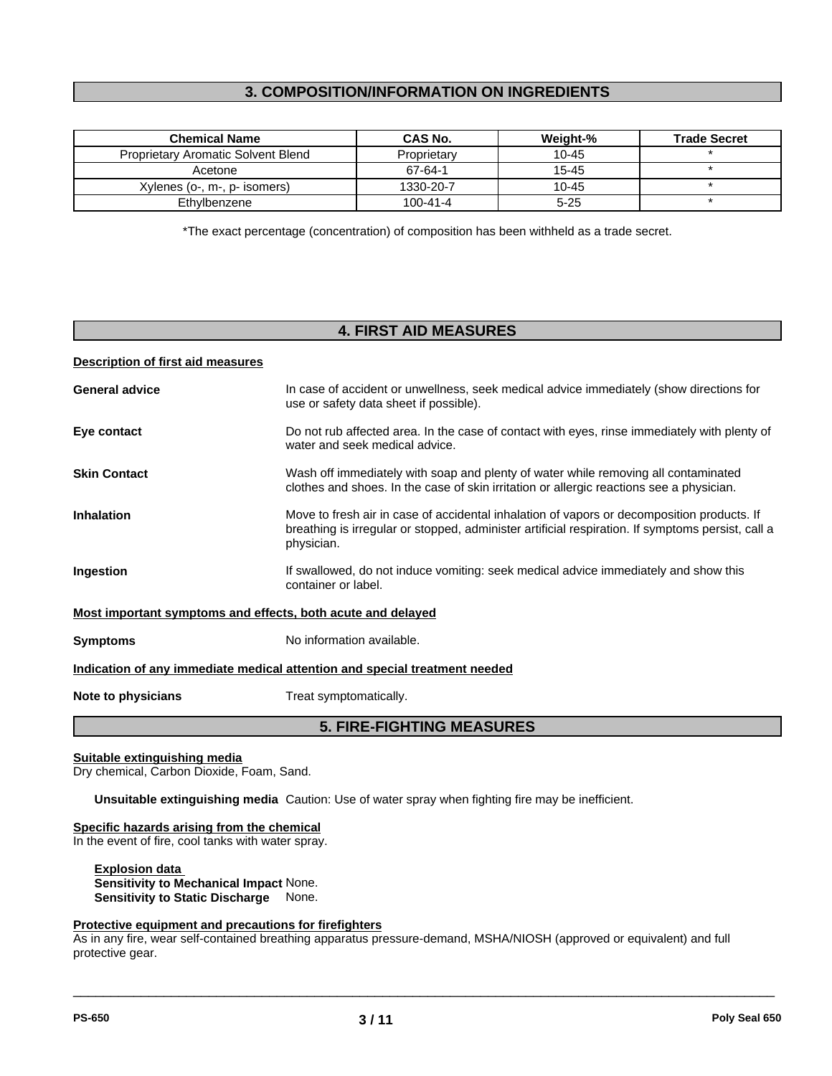## **3. COMPOSITION/INFORMATION ON INGREDIENTS**

| <b>Chemical Name</b>               | CAS No.     | Weight-%  | <b>Trade Secret</b> |
|------------------------------------|-------------|-----------|---------------------|
| Proprietary Aromatic Solvent Blend | Proprietary | 10-45     |                     |
| Acetone                            | 67-64-1     | 15-45     |                     |
| Xylenes (o-, m-, p- isomers)       | 1330-20-7   | $10 - 45$ |                     |
| Ethvlbenzene                       | 100-41-4    | $5 - 25$  |                     |

\*The exact percentage (concentration) of composition has been withheld as a trade secret.

## **4. FIRST AID MEASURES**

#### **Description of first aid measures**

|                       | <b>5. FIRE-FIGHTING MEASURES</b>                                                                                                                                                                              |
|-----------------------|---------------------------------------------------------------------------------------------------------------------------------------------------------------------------------------------------------------|
| Note to physicians    | Treat symptomatically.                                                                                                                                                                                        |
|                       | Indication of any immediate medical attention and special treatment needed                                                                                                                                    |
| <b>Symptoms</b>       | No information available.                                                                                                                                                                                     |
|                       | Most important symptoms and effects, both acute and delayed                                                                                                                                                   |
| Ingestion             | If swallowed, do not induce vomiting: seek medical advice immediately and show this<br>container or label.                                                                                                    |
| <b>Inhalation</b>     | Move to fresh air in case of accidental inhalation of vapors or decomposition products. If<br>breathing is irregular or stopped, administer artificial respiration. If symptoms persist, call a<br>physician. |
| <b>Skin Contact</b>   | Wash off immediately with soap and plenty of water while removing all contaminated<br>clothes and shoes. In the case of skin irritation or allergic reactions see a physician.                                |
| Eye contact           | Do not rub affected area. In the case of contact with eyes, rinse immediately with plenty of<br>water and seek medical advice.                                                                                |
| <b>General advice</b> | In case of accident or unwellness, seek medical advice immediately (show directions for<br>use or safety data sheet if possible).                                                                             |

## **Suitable extinguishing media**

Dry chemical, Carbon Dioxide, Foam, Sand.

**Unsuitable extinguishing media** Caution: Use of water spray when fighting fire may be inefficient.

#### **Specific hazards arising from the chemical**

In the event of fire, cool tanks with water spray.

**Explosion data Sensitivity to Mechanical Impact** None. **Sensitivity to Static Discharge** None.

#### **Protective equipment and precautions for firefighters**

As in any fire, wear self-contained breathing apparatus pressure-demand, MSHA/NIOSH (approved or equivalent) and full protective gear.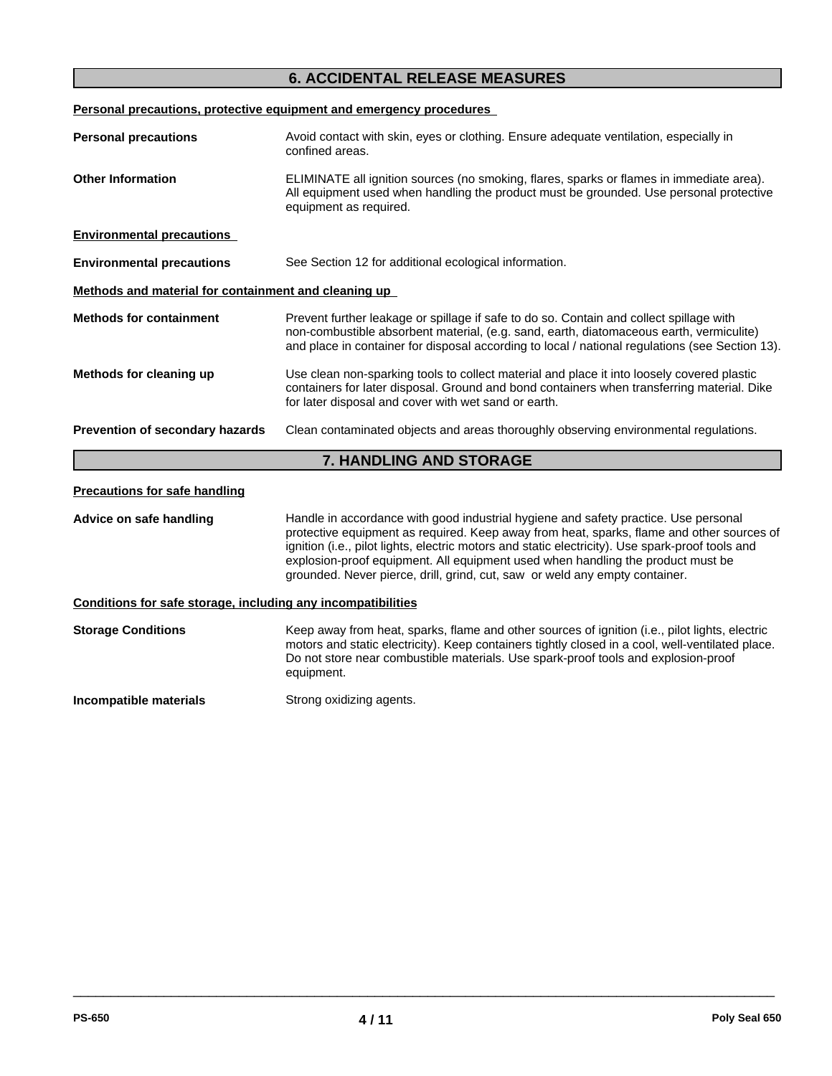## **6. ACCIDENTAL RELEASE MEASURES**

**Personal precautions, protective equipment and emergency procedures** 

| <b>Personal precautions</b>                          | Avoid contact with skin, eyes or clothing. Ensure adequate ventilation, especially in<br>confined areas.                                                                                                                                                                              |
|------------------------------------------------------|---------------------------------------------------------------------------------------------------------------------------------------------------------------------------------------------------------------------------------------------------------------------------------------|
| <b>Other Information</b>                             | ELIMINATE all ignition sources (no smoking, flares, sparks or flames in immediate area).<br>All equipment used when handling the product must be grounded. Use personal protective<br>equipment as required.                                                                          |
| <b>Environmental precautions</b>                     |                                                                                                                                                                                                                                                                                       |
| <b>Environmental precautions</b>                     | See Section 12 for additional ecological information.                                                                                                                                                                                                                                 |
| Methods and material for containment and cleaning up |                                                                                                                                                                                                                                                                                       |
| <b>Methods for containment</b>                       | Prevent further leakage or spillage if safe to do so. Contain and collect spillage with<br>non-combustible absorbent material, (e.g. sand, earth, diatomaceous earth, vermiculite)<br>and place in container for disposal according to local / national regulations (see Section 13). |
| Methods for cleaning up                              | Use clean non-sparking tools to collect material and place it into loosely covered plastic<br>containers for later disposal. Ground and bond containers when transferring material. Dike<br>for later disposal and cover with wet sand or earth.                                      |
| Prevention of secondary hazards                      | Clean contaminated objects and areas thoroughly observing environmental regulations.                                                                                                                                                                                                  |
|                                                      | <b>7. HANDLING AND STORAGE</b>                                                                                                                                                                                                                                                        |

**Advice on safe handling** Handle in accordance with good industrial hygiene and safety practice. Use personal protective equipment as required. Keep away from heat, sparks, flame and other sources of ignition (i.e., pilot lights, electric motors and static electricity). Use spark-proof tools and explosion-proof equipment. All equipment used when handling the product must be grounded. Never pierce, drill, grind, cut, saw or weld any empty container.

**Conditions for safe storage, including any incompatibilities**

|            | Keep away from heat, sparks, flame and other sources of ignition (i.e., pilot lights, electric<br>motors and static electricity). Keep containers tightly closed in a cool, well-ventilated place. |
|------------|----------------------------------------------------------------------------------------------------------------------------------------------------------------------------------------------------|
| equipment. | Do not store near combustible materials. Use spark-proof tools and explosion-proof                                                                                                                 |

**Incompatible materials** Strong oxidizing agents.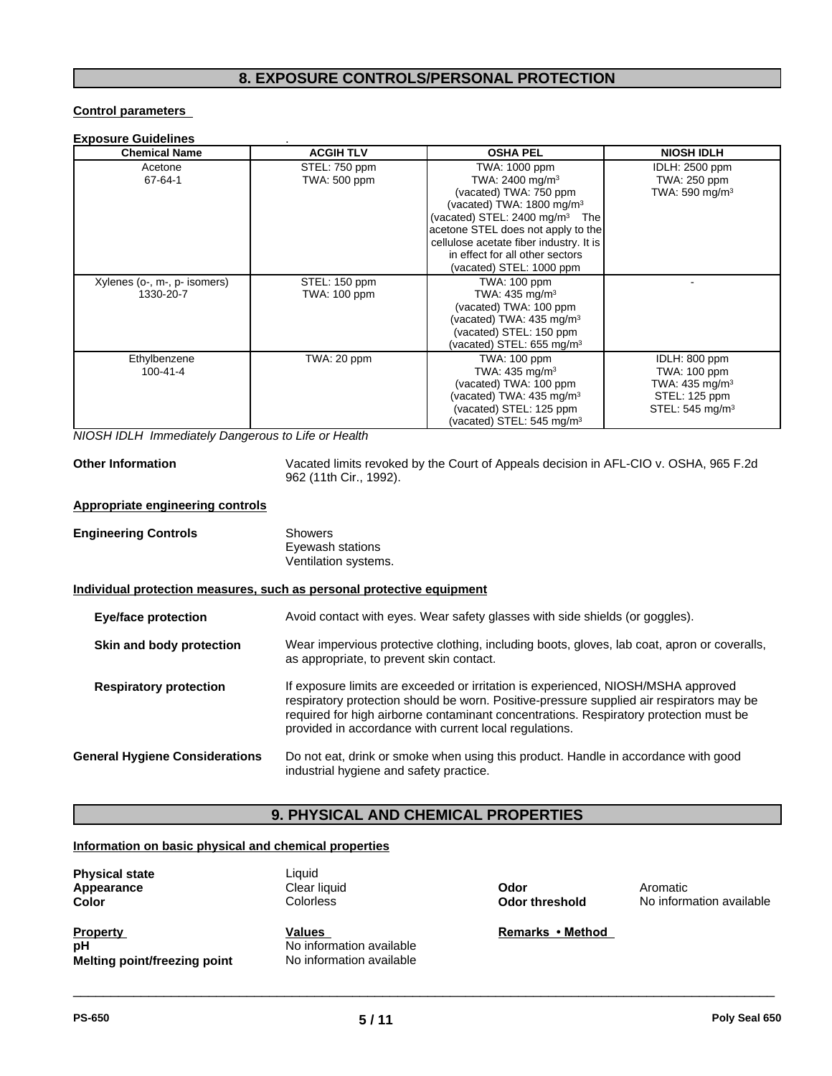## **8. EXPOSURE CONTROLS/PERSONAL PROTECTION**

#### **Control parameters**

#### **Exposure Guidelines** .

| <b>Chemical Name</b>         | <b>ACGIH TLV</b> | <b>OSHA PEL</b>                           | <b>NIOSH IDLH</b>           |
|------------------------------|------------------|-------------------------------------------|-----------------------------|
| Acetone                      | STEL: 750 ppm    | TWA: 1000 ppm                             | <b>IDLH: 2500 ppm</b>       |
| 67-64-1                      | TWA: 500 ppm     | TWA: 2400 mg/m <sup>3</sup>               | TWA: 250 ppm                |
|                              |                  | (vacated) TWA: 750 ppm                    | TWA: 590 mg/m <sup>3</sup>  |
|                              |                  | (vacated) TWA: 1800 mg/m <sup>3</sup>     |                             |
|                              |                  | (vacated) STEL: $2400 \text{ mg/m}^3$ The |                             |
|                              |                  | acetone STEL does not apply to the        |                             |
|                              |                  | cellulose acetate fiber industry. It is   |                             |
|                              |                  | in effect for all other sectors           |                             |
|                              |                  | (vacated) STEL: 1000 ppm                  |                             |
| Xylenes (o-, m-, p- isomers) | STEL: 150 ppm    | TWA: 100 ppm                              |                             |
| 1330-20-7                    | TWA: 100 ppm     | TWA: $435 \text{ mg/m}^3$                 |                             |
|                              |                  | (vacated) TWA: 100 ppm                    |                             |
|                              |                  | (vacated) TWA: 435 mg/m <sup>3</sup>      |                             |
|                              |                  | (vacated) STEL: 150 ppm                   |                             |
|                              |                  | (vacated) STEL: 655 mg/m <sup>3</sup>     |                             |
| Ethylbenzene                 | TWA: 20 ppm      | <b>TWA: 100 ppm</b>                       | IDLH: 800 ppm               |
| $100 - 41 - 4$               |                  | TWA: 435 mg/m <sup>3</sup>                | TWA: 100 ppm                |
|                              |                  | (vacated) TWA: 100 ppm                    | TWA: $435 \text{ mg/m}^3$   |
|                              |                  | (vacated) TWA: $435 \text{ mg/m}^3$       | STEL: 125 ppm               |
|                              |                  | (vacated) STEL: 125 ppm                   | STEL: 545 mg/m <sup>3</sup> |
|                              |                  | (vacated) STEL: $545 \text{ mg/m}^3$      |                             |

*NIOSH IDLH Immediately Dangerous to Life or Health*

**Other Information** Vacated limits revoked by the Court of Appeals decision in AFL-CIO v. OSHA, 965 F.2d 962 (11th Cir., 1992).

#### **Appropriate engineering controls**

| <b>Engineering Controls</b>           | <b>Showers</b><br>Eyewash stations<br>Ventilation systems.                                                                                                                                                                                                                                                                       |
|---------------------------------------|----------------------------------------------------------------------------------------------------------------------------------------------------------------------------------------------------------------------------------------------------------------------------------------------------------------------------------|
|                                       | Individual protection measures, such as personal protective equipment                                                                                                                                                                                                                                                            |
| <b>Eye/face protection</b>            | Avoid contact with eyes. Wear safety glasses with side shields (or goggles).                                                                                                                                                                                                                                                     |
| Skin and body protection              | Wear impervious protective clothing, including boots, gloves, lab coat, apron or coveralls,<br>as appropriate, to prevent skin contact.                                                                                                                                                                                          |
| <b>Respiratory protection</b>         | If exposure limits are exceeded or irritation is experienced, NIOSH/MSHA approved<br>respiratory protection should be worn. Positive-pressure supplied air respirators may be<br>required for high airborne contaminant concentrations. Respiratory protection must be<br>provided in accordance with current local regulations. |
| <b>General Hygiene Considerations</b> | Do not eat, drink or smoke when using this product. Handle in accordance with good<br>industrial hygiene and safety practice.                                                                                                                                                                                                    |

# **9. PHYSICAL AND CHEMICAL PROPERTIES**

#### **Information on basic physical and chemical properties**

| <b>Physical state</b><br>Appearance | Liquid<br>Clear liquid   | Odor                  | Aromatic                 |
|-------------------------------------|--------------------------|-----------------------|--------------------------|
|                                     |                          |                       |                          |
| Color                               | Colorless                | <b>Odor threshold</b> | No information available |
| <b>Property</b>                     | Values                   | Remarks • Method      |                          |
| pН                                  | No information available |                       |                          |
| Melting point/freezing point        | No information available |                       |                          |
|                                     |                          |                       |                          |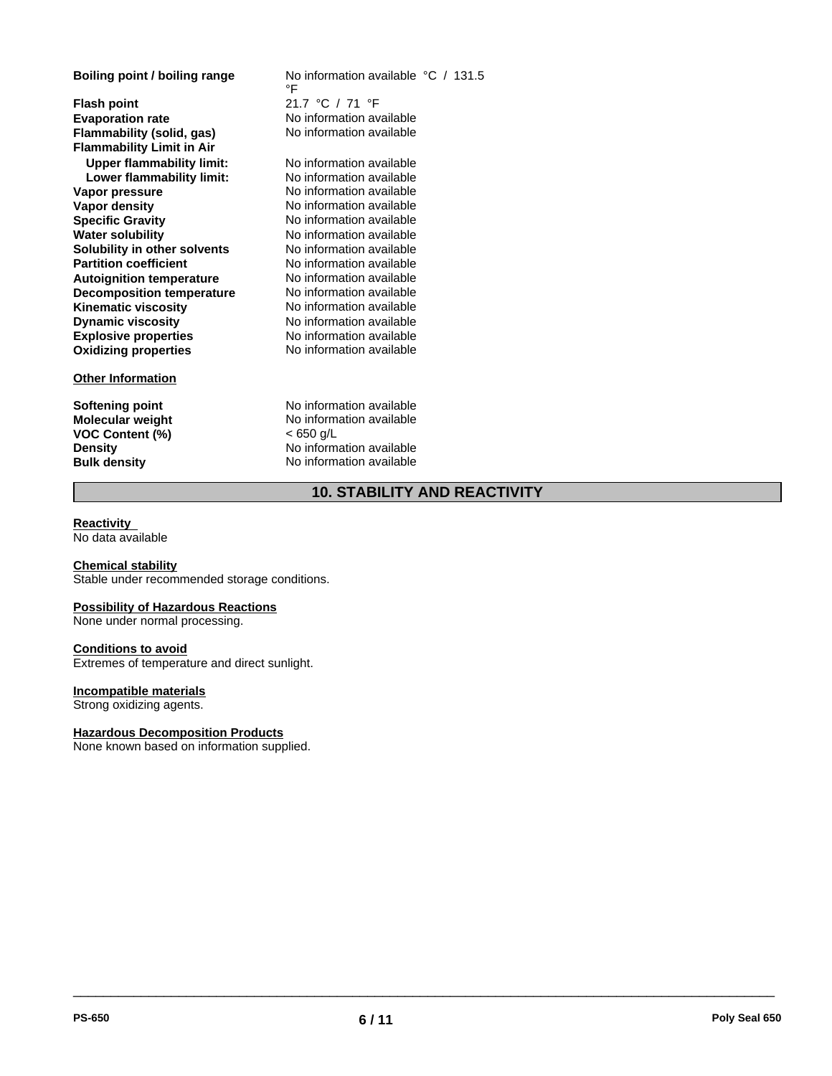**Explosive properties**<br> **Oxidizing properties**<br>
No information available **Oxidizing properties Flash point** 21.7 °C / 71 °F **Evaporation rate** No information available **Flammability (solid, gas)** No information available **Flammability Limit in Air Upper flammability limit:** No information available<br>**I ower flammability limit:** No information available **Lower flammability limit: Vapor pressure** The South Community No information available<br> **Vapor density** No information available **Specific Gravity** No information available **Water solubility <br>
<b>No** information available<br> **Solubility in other solvents No** information available **Solubility in other solvents<br>Partition coefficient Autoignition temperature No information available**<br> **Decomposition temperature No information available Decomposition temperature** No information available<br> **Kinematic viscosity** No information available **Kinematic viscosity Dynamic viscosity**

#### **Other Information**

**VOC Content (%)** < 650 g/L

**Boiling point / boiling range** No information available °C / 131.5 °F

> **No information available No information available** No information available No information available

**Softening point** No information available **Molecular weight** No information available **Density** No information available **Bulk density** No information available

## **10. STABILITY AND REACTIVITY**

#### **Reactivity**  No data available

#### **Chemical stability**

Stable under recommended storage conditions.

#### **Possibility of Hazardous Reactions**

None under normal processing.

#### **Conditions to avoid**

Extremes of temperature and direct sunlight.

#### **Incompatible materials**

Strong oxidizing agents.

#### **Hazardous Decomposition Products**

None known based on information supplied.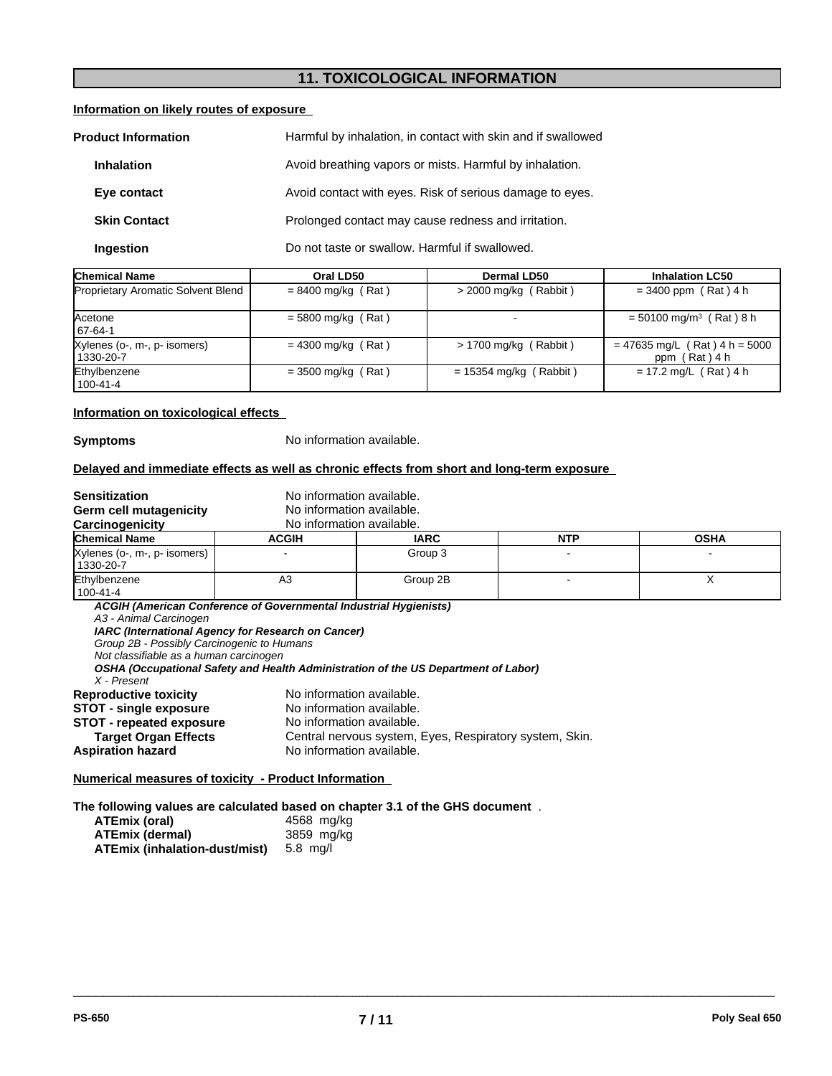# **11. TOXICOLOGICAL INFORMATION**

#### **Information on likely routes of exposure**

| Harmful by inhalation, in contact with skin and if swallowed<br><b>Product Information</b> |                                                          |
|--------------------------------------------------------------------------------------------|----------------------------------------------------------|
| <b>Inhalation</b>                                                                          | Avoid breathing vapors or mists. Harmful by inhalation.  |
| Eye contact                                                                                | Avoid contact with eyes. Risk of serious damage to eyes. |
| <b>Skin Contact</b>                                                                        | Prolonged contact may cause redness and irritation.      |
| Ingestion                                                                                  | Do not taste or swallow. Harmful if swallowed.           |

| <b>Chemical Name</b>                      | Oral LD50            | Dermal LD50              | <b>Inhalation LC50</b>                           |
|-------------------------------------------|----------------------|--------------------------|--------------------------------------------------|
| Proprietary Aromatic Solvent Blend        | $= 8400$ mg/kg (Rat) | $>$ 2000 mg/kg (Rabbit)  | $= 3400$ ppm (Rat) 4 h                           |
| Acetone<br>67-64-1                        | $= 5800$ mg/kg (Rat) |                          | $= 50100$ mg/m <sup>3</sup> (Rat) 8 h            |
| Xylenes (o-, m-, p- isomers)<br>1330-20-7 | $= 4300$ mg/kg (Rat) | $> 1700$ mg/kg (Rabbit)  | $= 47635$ mg/L (Rat) 4 h = 5000<br>ppm (Rat) 4 h |
| Ethylbenzene<br>  100-41-4                | $=$ 3500 mg/kg (Rat) | $= 15354$ mg/kg (Rabbit) | $= 17.2$ mg/L (Rat) 4 h                          |

#### **Information on toxicological effects**

**Symptoms** No information available.

#### **Delayed and immediate effects as well as chronic effects from short and long-term exposure**

| <b>Sensitization</b><br>Germ cell mutagenicity<br>Carcinogenicity                                                                                           | No information available.<br>No information available.<br>No information available.                                                      |                                                         |            |             |
|-------------------------------------------------------------------------------------------------------------------------------------------------------------|------------------------------------------------------------------------------------------------------------------------------------------|---------------------------------------------------------|------------|-------------|
| <b>Chemical Name</b>                                                                                                                                        | <b>ACGIH</b>                                                                                                                             | <b>IARC</b>                                             | <b>NTP</b> | <b>OSHA</b> |
| Xylenes (o-, m-, p- isomers)<br>1330-20-7                                                                                                                   |                                                                                                                                          | Group 3                                                 |            |             |
| Ethylbenzene<br>  100-41-4                                                                                                                                  | A3                                                                                                                                       | Group 2B                                                |            | X           |
| A3 - Animal Carcinogen<br>Group 2B - Possibly Carcinogenic to Humans<br>Not classifiable as a human carcinogen<br>X - Present                               | IARC (International Agency for Research on Cancer)<br>OSHA (Occupational Safety and Health Administration of the US Department of Labor) |                                                         |            |             |
| <b>Reproductive toxicity</b><br><b>STOT - single exposure</b><br><b>STOT - repeated exposure</b><br><b>Target Organ Effects</b><br><b>Aspiration hazard</b> | No information available.<br>No information available.<br>No information available.<br>No information available.                         | Central nervous system, Eyes, Respiratory system, Skin. |            |             |

**Numerical measures of toxicity - Product Information** 

**The following values are calculated based on chapter 3.1 of the GHS document** .

| ATEmix (oral)                 | 4568 mg/kg |
|-------------------------------|------------|
| <b>ATEmix (dermal)</b>        | 3859 mg/kg |
| ATEmix (inhalation-dust/mist) | 5.8 ma/l   |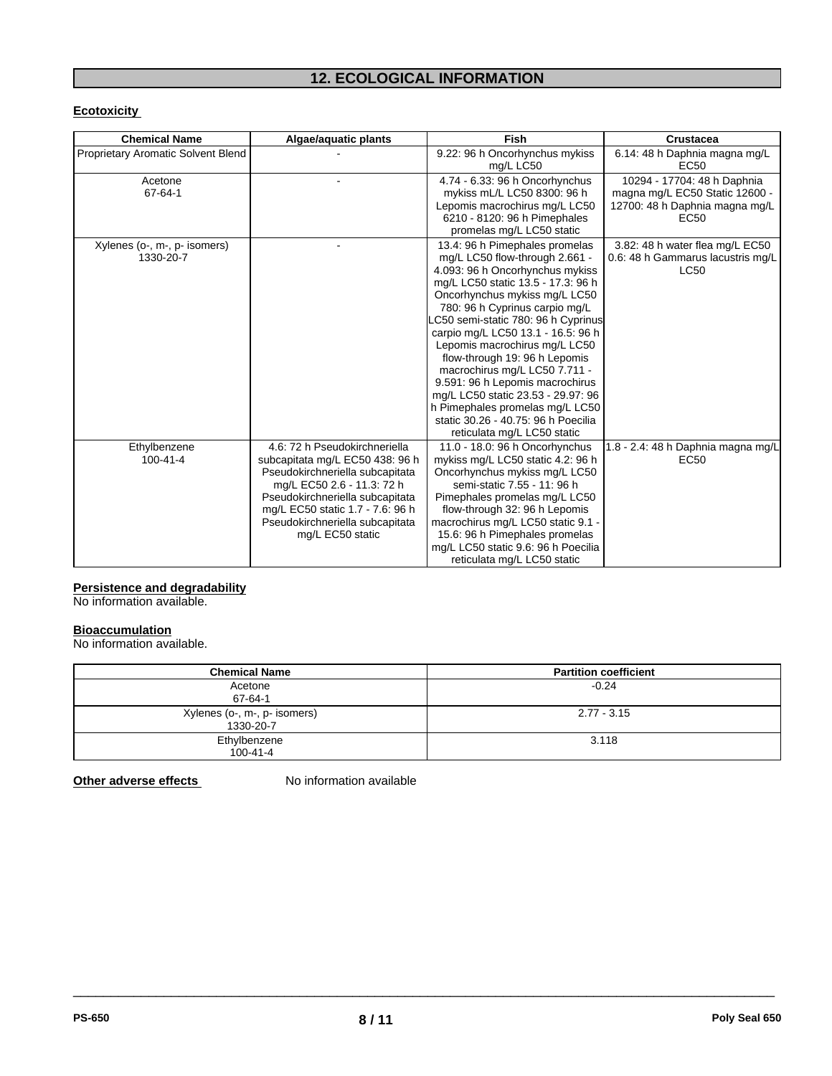# **12. ECOLOGICAL INFORMATION**

## **Ecotoxicity**

| <b>Chemical Name</b>               | Algae/aquatic plants             | Fish                                | <b>Crustacea</b>                   |
|------------------------------------|----------------------------------|-------------------------------------|------------------------------------|
| Proprietary Aromatic Solvent Blend |                                  | 9.22: 96 h Oncorhynchus mykiss      | 6.14: 48 h Daphnia magna mg/L      |
|                                    |                                  | mg/L LC50                           | EC <sub>50</sub>                   |
| Acetone                            |                                  | 4.74 - 6.33: 96 h Oncorhynchus      | 10294 - 17704: 48 h Daphnia        |
| 67-64-1                            |                                  | mykiss mL/L LC50 8300: 96 h         | magna mg/L EC50 Static 12600 -     |
|                                    |                                  | Lepomis macrochirus mg/L LC50       | 12700: 48 h Daphnia magna mg/L     |
|                                    |                                  | 6210 - 8120: 96 h Pimephales        | EC <sub>50</sub>                   |
|                                    |                                  | promelas mg/L LC50 static           |                                    |
| Xylenes (o-, m-, p- isomers)       |                                  | 13.4: 96 h Pimephales promelas      | 3.82: 48 h water flea mg/L EC50    |
| 1330-20-7                          |                                  | mg/L LC50 flow-through 2.661 -      | 0.6: 48 h Gammarus lacustris mg/L  |
|                                    |                                  | 4.093: 96 h Oncorhynchus mykiss     | <b>LC50</b>                        |
|                                    |                                  | mg/L LC50 static 13.5 - 17.3: 96 h  |                                    |
|                                    |                                  | Oncorhynchus mykiss mg/L LC50       |                                    |
|                                    |                                  | 780: 96 h Cyprinus carpio mg/L      |                                    |
|                                    |                                  | C50 semi-static 780: 96 h Cyprinus  |                                    |
|                                    |                                  | carpio mg/L LC50 13.1 - 16.5: 96 h  |                                    |
|                                    |                                  | Lepomis macrochirus mg/L LC50       |                                    |
|                                    |                                  | flow-through 19: 96 h Lepomis       |                                    |
|                                    |                                  | macrochirus mg/L LC50 7.711 -       |                                    |
|                                    |                                  | 9.591: 96 h Lepomis macrochirus     |                                    |
|                                    |                                  | mg/L LC50 static 23.53 - 29.97: 96  |                                    |
|                                    |                                  | h Pimephales promelas mg/L LC50     |                                    |
|                                    |                                  | static 30.26 - 40.75: 96 h Poecilia |                                    |
|                                    |                                  | reticulata mg/L LC50 static         |                                    |
| Ethylbenzene                       | 4.6: 72 h Pseudokirchneriella    | 11.0 - 18.0: 96 h Oncorhynchus      | 1.8 - 2.4: 48 h Daphnia magna mg/L |
| $100 - 41 - 4$                     | subcapitata mg/L EC50 438: 96 h  | mykiss mg/L LC50 static 4.2: 96 h   | EC50                               |
|                                    | Pseudokirchneriella subcapitata  | Oncorhynchus mykiss mg/L LC50       |                                    |
|                                    | mg/L EC50 2.6 - 11.3: 72 h       | semi-static 7.55 - 11: 96 h         |                                    |
|                                    | Pseudokirchneriella subcapitata  | Pimephales promelas mg/L LC50       |                                    |
|                                    | mg/L EC50 static 1.7 - 7.6: 96 h | flow-through 32: 96 h Lepomis       |                                    |
|                                    | Pseudokirchneriella subcapitata  | macrochirus mg/L LC50 static 9.1 -  |                                    |
|                                    | mg/L EC50 static                 | 15.6: 96 h Pimephales promelas      |                                    |
|                                    |                                  | mg/L LC50 static 9.6: 96 h Poecilia |                                    |
|                                    |                                  | reticulata mg/L LC50 static         |                                    |

#### **Persistence and degradability**

No information available.

### **Bioaccumulation**

No information available.

| <b>Chemical Name</b>                      | <b>Partition coefficient</b> |
|-------------------------------------------|------------------------------|
| Acetone<br>67-64-1                        | $-0.24$                      |
| Xylenes (o-, m-, p- isomers)<br>1330-20-7 | $2.77 - 3.15$                |
| Ethylbenzene<br>$100 - 41 - 4$            | 3.118                        |

 $\overline{\phantom{a}}$  ,  $\overline{\phantom{a}}$  ,  $\overline{\phantom{a}}$  ,  $\overline{\phantom{a}}$  ,  $\overline{\phantom{a}}$  ,  $\overline{\phantom{a}}$  ,  $\overline{\phantom{a}}$  ,  $\overline{\phantom{a}}$  ,  $\overline{\phantom{a}}$  ,  $\overline{\phantom{a}}$  ,  $\overline{\phantom{a}}$  ,  $\overline{\phantom{a}}$  ,  $\overline{\phantom{a}}$  ,  $\overline{\phantom{a}}$  ,  $\overline{\phantom{a}}$  ,  $\overline{\phantom{a}}$ 

**Other adverse effects** No information available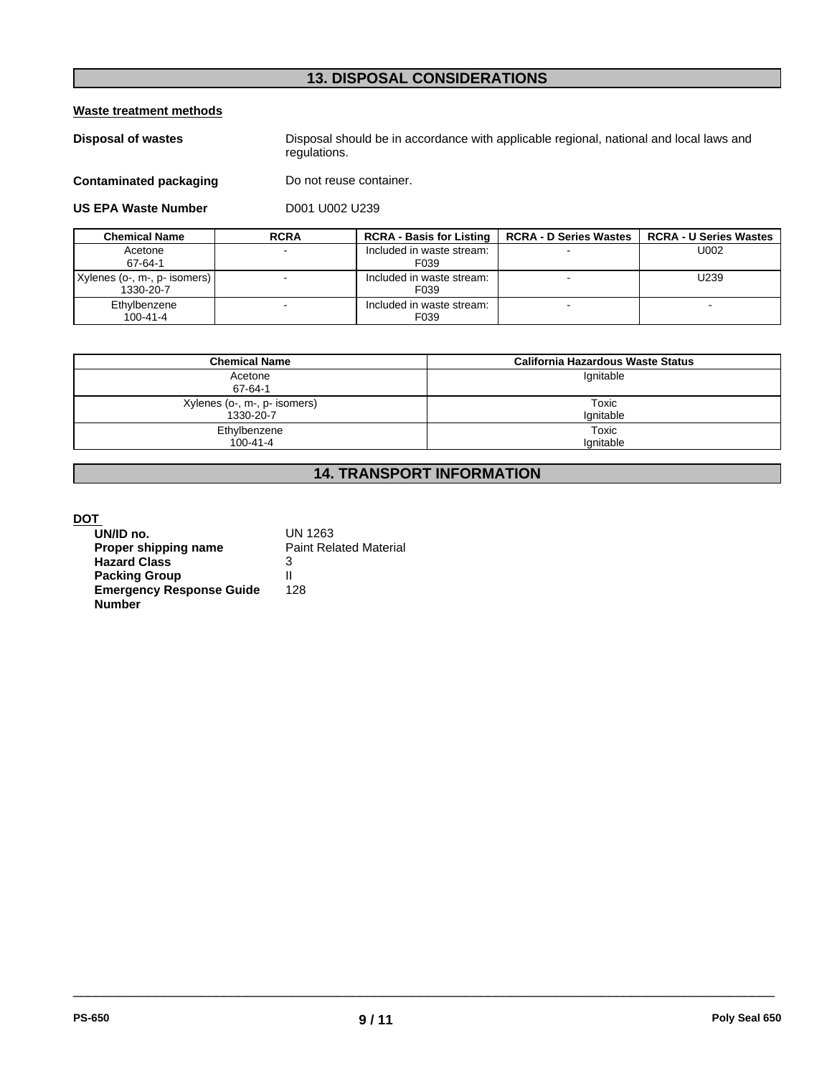# **13. DISPOSAL CONSIDERATIONS**

**Waste treatment methods**

**Disposal of wastes** Disposal should be in accordance with applicable regional, national and local laws and regulations.

**Contaminated packaging** Do not reuse container.

**US EPA Waste Number** D001 U002 U239

| <b>Chemical Name</b>                        | <b>RCRA</b> | <b>RCRA - Basis for Listing 1</b> | <b>RCRA - D Series Wastes</b> I | <b>RCRA - U Series Wastes</b> |
|---------------------------------------------|-------------|-----------------------------------|---------------------------------|-------------------------------|
| Acetone<br>67-64-1                          |             | Included in waste stream:<br>F039 |                                 | U002                          |
| Xylenes (o-, m-, p- isomers)  <br>1330-20-7 |             | Included in waste stream:<br>F039 |                                 | U239                          |
| Ethylbenzene<br>$100 - 41 - 4$              |             | Included in waste stream:<br>F039 |                                 |                               |

| <b>Chemical Name</b>         | California Hazardous Waste Status |
|------------------------------|-----------------------------------|
| Acetone<br>67-64-1           | Ignitable                         |
| Xylenes (o-, m-, p- isomers) | Toxic                             |
| 1330-20-7                    | Ignitable                         |
| Ethylbenzene                 | Toxic                             |
| $100 - 41 - 4$               | Ignitable                         |

# **14. TRANSPORT INFORMATION**

## **DOT**

| UN/ID no.                       | UN 1263                       |
|---------------------------------|-------------------------------|
| Proper shipping name            | <b>Paint Related Material</b> |
| <b>Hazard Class</b>             | 3                             |
| <b>Packing Group</b>            | Ш                             |
| <b>Emergency Response Guide</b> | 128                           |
| <b>Number</b>                   |                               |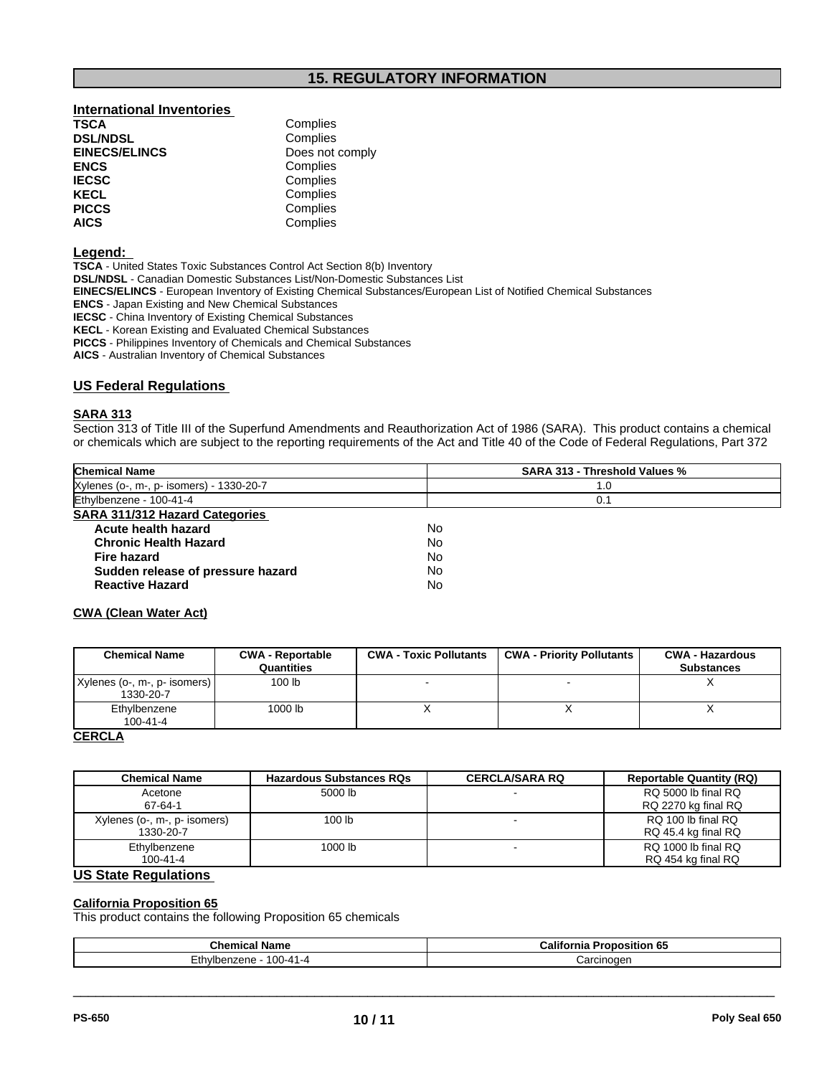## **International Inventories**<br> **TSCA** Complies **TSCA** Complies

| 1997                 | <b>UUIIPIIUU</b> |  |
|----------------------|------------------|--|
| <b>DSL/NDSL</b>      | Complies         |  |
| <b>EINECS/ELINCS</b> | Does not comply  |  |
| ENCS                 | Complies         |  |
| <b>IECSC</b>         | Complies         |  |
| KECL                 | Complies         |  |
| <b>PICCS</b>         | Complies         |  |
| AICS                 | Complies         |  |
|                      |                  |  |

#### **Legend:**

**TSCA** - United States Toxic Substances Control Act Section 8(b) Inventory **DSL/NDSL** - Canadian Domestic Substances List/Non-Domestic Substances List **EINECS/ELINCS** - European Inventory of Existing Chemical Substances/European List of Notified Chemical Substances **ENCS** - Japan Existing and New Chemical Substances **IECSC** - China Inventory of Existing Chemical Substances **KECL** - Korean Existing and Evaluated Chemical Substances

**PICCS** - Philippines Inventory of Chemicals and Chemical Substances **AICS** - Australian Inventory of Chemical Substances

#### **US Federal Regulations**

#### **SARA 313**

Section 313 of Title III of the Superfund Amendments and Reauthorization Act of 1986 (SARA). This product contains a chemical or chemicals which are subject to the reporting requirements of the Act and Title 40 of the Code of Federal Regulations, Part 372

| <b>Chemical Name</b>                     | <b>SARA 313 - Threshold Values %</b> |  |
|------------------------------------------|--------------------------------------|--|
| Xylenes (o-, m-, p- isomers) - 1330-20-7 | 1.0                                  |  |
| Ethylbenzene - 100-41-4                  | 0.1                                  |  |
| <b>SARA 311/312 Hazard Categories</b>    |                                      |  |
| Acute health hazard                      | No                                   |  |
| <b>Chronic Health Hazard</b>             | No                                   |  |
| Fire hazard                              | No                                   |  |
| Sudden release of pressure hazard        | No                                   |  |
| <b>Reactive Hazard</b>                   | No                                   |  |

#### **CWA (Clean Water Act)**

| <b>Chemical Name</b>                        | <b>CWA - Reportable</b><br><b>Quantities</b> | <b>CWA - Toxic Pollutants</b> | <b>CWA - Priority Pollutants</b> | <b>CWA - Hazardous</b><br><b>Substances</b> |
|---------------------------------------------|----------------------------------------------|-------------------------------|----------------------------------|---------------------------------------------|
| Xylenes (o-, m-, p- isomers)  <br>1330-20-7 | 100 lb                                       |                               | $\overline{\phantom{0}}$         |                                             |
| Ethylbenzene<br>$100 - 41 - 4$              | 1000 lb                                      |                               |                                  |                                             |
| $\cdots$                                    |                                              |                               |                                  |                                             |

#### **CERCLA**

| <b>Chemical Name</b>                      | <b>Hazardous Substances RQs</b> | <b>CERCLA/SARA RQ</b> | <b>Reportable Quantity (RQ)</b>            |
|-------------------------------------------|---------------------------------|-----------------------|--------------------------------------------|
| Acetone<br>67-64-1                        | 5000 lb                         |                       | RQ 5000 lb final RQ<br>RQ 2270 kg final RQ |
| Xylenes (o-, m-, p- isomers)<br>1330-20-7 | 100 <sub>lb</sub>               |                       | RQ 100 lb final RQ<br>RQ 45.4 kg final RQ  |
| Ethylbenzene<br>100-41-4                  | 1000 lb                         |                       | RQ 1000 lb final RQ<br>RQ 454 kg final RQ  |

## **US State Regulations**

#### **California Proposition 65**

This product contains the following Proposition 65 chemicals

| <b>Chemical Name</b>                                 | California<br><b>Proposition 65</b> |
|------------------------------------------------------|-------------------------------------|
| $\overline{\phantom{a}}$<br>100-41-4<br>Ethvibenzene | ≿arcınoɑen<br>ווס                   |